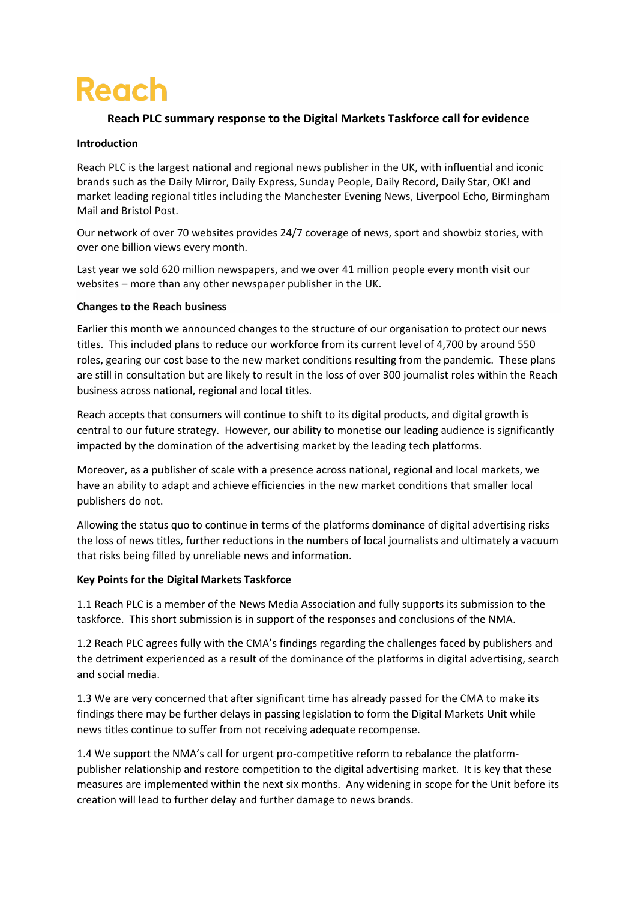# **Reach**

## **Reach PLC summary response to the Digital Markets Taskforce call for evidence**

### **Introduction**

Reach PLC is the largest national and regional news publisher in the UK, with influential and iconic brands such as the Daily Mirror, Daily Express, Sunday People, Daily Record, Daily Star, OK! and market leading regional titles including the Manchester Evening News, Liverpool Echo, Birmingham Mail and Bristol Post.

Our network of over 70 websites provides 24/7 coverage of news, sport and showbiz stories, with over one billion views every month.

Last year we sold 620 million newspapers, and we over 41 million people every month visit our websites – more than any other newspaper publisher in the UK.

#### **Changes to the Reach business**

Earlier this month we announced changes to the structure of our organisation to protect our news titles. This included plans to reduce our workforce from its current level of 4,700 by around 550 roles, gearing our cost base to the new market conditions resulting from the pandemic. These plans are still in consultation but are likely to result in the loss of over 300 journalist roles within the Reach business across national, regional and local titles.

Reach accepts that consumers will continue to shift to its digital products, and digital growth is central to our future strategy. However, our ability to monetise our leading audience is significantly impacted by the domination of the advertising market by the leading tech platforms.

Moreover, as a publisher of scale with a presence across national, regional and local markets, we have an ability to adapt and achieve efficiencies in the new market conditions that smaller local publishers do not.

Allowing the status quo to continue in terms of the platforms dominance of digital advertising risks the loss of news titles, further reductions in the numbers of local journalists and ultimately a vacuum that risks being filled by unreliable news and information.

## **Key Points for the Digital Markets Taskforce**

1.1 Reach PLC is a member of the News Media Association and fully supports its submission to the taskforce. This short submission is in support of the responses and conclusions of the NMA.

1.2 Reach PLC agrees fully with the CMA's findings regarding the challenges faced by publishers and the detriment experienced as a result of the dominance of the platforms in digital advertising, search and social media.

1.3 We are very concerned that after significant time has already passed for the CMA to make its findings there may be further delays in passing legislation to form the Digital Markets Unit while news titles continue to suffer from not receiving adequate recompense.

1.4 We support the NMA's call for urgent pro-competitive reform to rebalance the platformpublisher relationship and restore competition to the digital advertising market. It is key that these measures are implemented within the next six months. Any widening in scope for the Unit before its creation will lead to further delay and further damage to news brands.